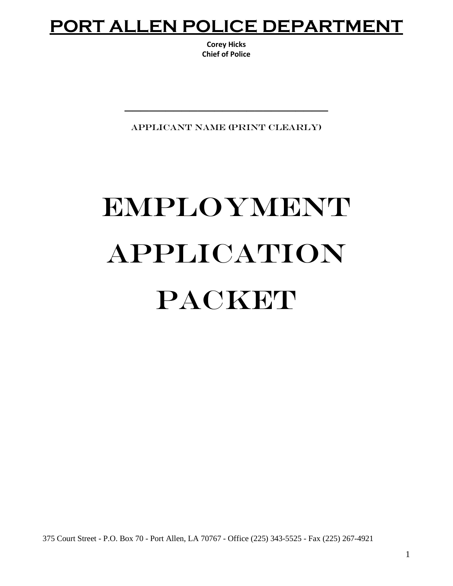## **PORT ALLEN POLICE DEPARTMENT**

**Corey Hicks Chief of Police**

APPLICANT NAME (PRINT CLEARLY)

\_\_\_\_\_\_\_\_\_\_\_\_\_\_\_\_\_\_\_\_\_\_\_\_\_

# EMPLOYMENT APPLICATION PACKET

375 Court Street - P.O. Box 70 - Port Allen, LA 70767 - Office (225) 343-5525 - Fax (225) 267-4921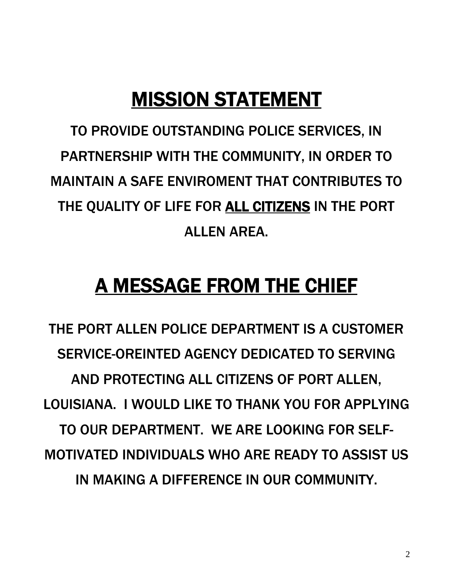# MISSION STATEMENT

TO PROVIDE OUTSTANDING POLICE SERVICES, IN PARTNERSHIP WITH THE COMMUNITY, IN ORDER TO MAINTAIN A SAFE ENVIROMENT THAT CONTRIBUTES TO THE QUALITY OF LIFE FOR ALL CITIZENS IN THE PORT ALLEN AREA.

# A MESSAGE FROM THE CHIEF

THE PORT ALLEN POLICE DEPARTMENT IS A CUSTOMER SERVICE-OREINTED AGENCY DEDICATED TO SERVING AND PROTECTING ALL CITIZENS OF PORT ALLEN, LOUISIANA. I WOULD LIKE TO THANK YOU FOR APPLYING TO OUR DEPARTMENT. WE ARE LOOKING FOR SELF-MOTIVATED INDIVIDUALS WHO ARE READY TO ASSIST US IN MAKING A DIFFERENCE IN OUR COMMUNITY.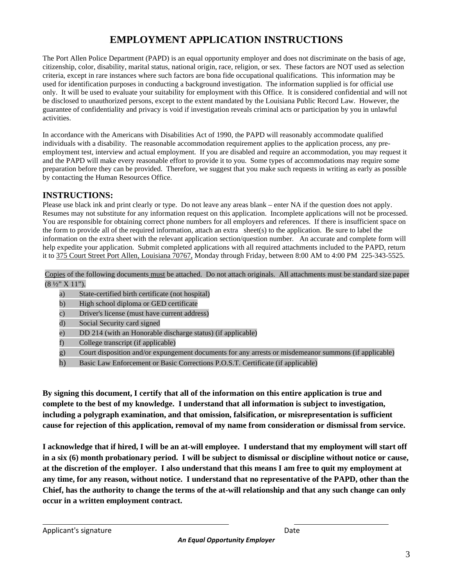## **EMPLOYMENT APPLICATION INSTRUCTIONS**

The Port Allen Police Department (PAPD) is an equal opportunity employer and does not discriminate on the basis of age, citizenship, color, disability, marital status, national origin, race, religion, or sex. These factors are NOT used as selection criteria, except in rare instances where such factors are bona fide occupational qualifications. This information may be used for identification purposes in conducting a background investigation. The information supplied is for official use only. It will be used to evaluate your suitability for employment with this Office. It is considered confidential and will not be disclosed to unauthorized persons, except to the extent mandated by the Louisiana Public Record Law. However, the guarantee of confidentiality and privacy is void if investigation reveals criminal acts or participation by you in unlawful activities.

In accordance with the Americans with Disabilities Act of 1990, the PAPD will reasonably accommodate qualified individuals with a disability. The reasonable accommodation requirement applies to the application process, any preemployment test, interview and actual employment. If you are disabled and require an accommodation, you may request it and the PAPD will make every reasonable effort to provide it to you. Some types of accommodations may require some preparation before they can be provided. Therefore, we suggest that you make such requests in writing as early as possible by contacting the Human Resources Office.

#### **INSTRUCTIONS:**

Please use black ink and print clearly or type. Do not leave any areas blank – enter NA if the question does not apply. Resumes may not substitute for any information request on this application. Incomplete applications will not be processed. You are responsible for obtaining correct phone numbers for all employers and references. If there is insufficient space on the form to provide all of the required information, attach an extra sheet(s) to the application. Be sure to label the information on the extra sheet with the relevant application section/question number. An accurate and complete form will help expedite your application. Submit completed applications with all required attachments included to the PAPD, return it to 375 Court Street Port Allen, Louisiana 70767, Monday through Friday, between 8:00 AM to 4:00 PM 225-343-5525.

Copies of the following documents must be attached. Do not attach originals. All attachments must be standard size paper  $(8 \frac{1}{2}$ " X 11").

- a) State-certified birth certificate (not hospital)
- b) High school diploma or GED certificate
- c) Driver's license (must have current address)
- d) Social Security card signed
- e) DD 214 (with an Honorable discharge status) (if applicable)
- f) College transcript (if applicable)
- g) Court disposition and/or expungement documents for any arrests or misdemeanor summons (if applicable)
- h) Basic Law Enforcement or Basic Corrections P.O.S.T. Certificate (if applicable)

**By signing this document, I certify that all of the information on this entire application is true and complete to the best of my knowledge. I understand that all information is subject to investigation, including a polygraph examination, and that omission, falsification, or misrepresentation is sufficient cause for rejection of this application, removal of my name from consideration or dismissal from service.** 

**I acknowledge that if hired, I will be an at-will employee. I understand that my employment will start off in a six (6) month probationary period. I will be subject to dismissal or discipline without notice or cause, at the discretion of the employer. I also understand that this means I am free to quit my employment at any time, for any reason, without notice. I understand that no representative of the PAPD, other than the Chief, has the authority to change the terms of the at-will relationship and that any such change can only occur in a written employment contract.**

Applicant's signature and the Date of the Date of the Date of the Date of the Date of the Date of the Date of the Date of the Date of the Date of the Date of the Date of the Date of the Date of the Date of the Date of the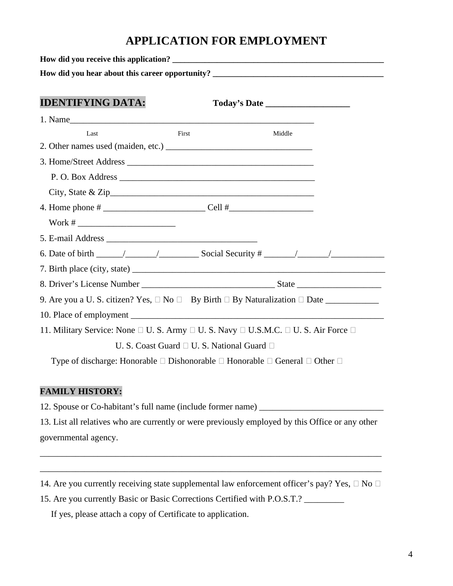## **APPLICATION FOR EMPLOYMENT**

| <b>IDENTIFYING DATA:</b>                                                                                            |                                                      |        |
|---------------------------------------------------------------------------------------------------------------------|------------------------------------------------------|--------|
| 1. Name                                                                                                             |                                                      |        |
| Last                                                                                                                | First                                                | Middle |
|                                                                                                                     |                                                      |        |
|                                                                                                                     |                                                      |        |
|                                                                                                                     |                                                      |        |
|                                                                                                                     |                                                      |        |
|                                                                                                                     |                                                      |        |
|                                                                                                                     |                                                      |        |
|                                                                                                                     |                                                      |        |
|                                                                                                                     |                                                      |        |
|                                                                                                                     |                                                      |        |
|                                                                                                                     |                                                      |        |
|                                                                                                                     |                                                      |        |
| 10. Place of employment                                                                                             |                                                      |        |
| 11. Military Service: None $\Box$ U. S. Army $\Box$ U. S. Navy $\Box$ U.S.M.C. $\Box$ U. S. Air Force $\Box$        |                                                      |        |
|                                                                                                                     | U. S. Coast Guard $\Box$ U. S. National Guard $\Box$ |        |
| Type of discharge: Honorable $\square$ Dishonorable $\square$ Honorable $\square$ General $\square$ Other $\square$ |                                                      |        |

#### **FAMILY HISTORY:**

12. Spouse or Co-habitant's full name (include former name) \_\_\_\_\_\_\_\_\_\_\_\_\_\_\_\_\_\_\_\_\_

13. List all relatives who are currently or were previously employed by this Office or any other governmental agency.

\_\_\_\_\_\_\_\_\_\_\_\_\_\_\_\_\_\_\_\_\_\_\_\_\_\_\_\_\_\_\_\_\_\_\_\_\_\_\_\_\_\_\_\_\_\_\_\_\_\_\_\_\_\_\_\_\_\_\_\_\_\_\_\_\_\_\_\_\_\_\_\_\_\_\_\_\_

\_\_\_\_\_\_\_\_\_\_\_\_\_\_\_\_\_\_\_\_\_\_\_\_\_\_\_\_\_\_\_\_\_\_\_\_\_\_\_\_\_\_\_\_\_\_\_\_\_\_\_\_\_\_\_\_\_\_\_\_\_\_\_\_\_\_\_\_\_\_\_\_\_\_\_\_\_

- 14. Are you currently receiving state supplemental law enforcement officer's pay? Yes,  $\Box$  No  $\Box$
- 15. Are you currently Basic or Basic Corrections Certified with P.O.S.T.? \_\_\_\_\_\_\_\_\_

If yes, please attach a copy of Certificate to application.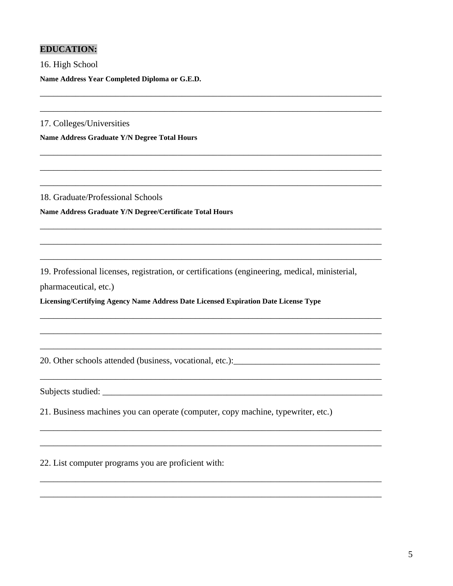#### **EDUCATION:**

16. High School Name Address Year Completed Diploma or G.E.D.

17. Colleges/Universities

Name Address Graduate Y/N Degree Total Hours

18. Graduate/Professional Schools Name Address Graduate Y/N Degree/Certificate Total Hours

19. Professional licenses, registration, or certifications (engineering, medical, ministerial,

pharmaceutical, etc.)

Licensing/Certifying Agency Name Address Date Licensed Expiration Date License Type

Subjects studied:

21. Business machines you can operate (computer, copy machine, typewriter, etc.)

22. List computer programs you are proficient with: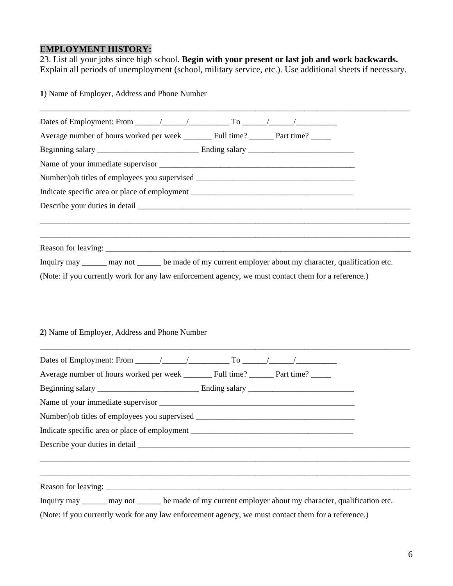#### **EMPLOYMENT HISTORY:**

23. List all your jobs since high school. **Begin with your present or last job and work backwards.**  Explain all periods of unemployment (school, military service, etc.). Use additional sheets if necessary.

**1**) Name of Employer, Address and Phone Number

| Number/job titles of employees you supervised __________________________________                           |  |  |  |
|------------------------------------------------------------------------------------------------------------|--|--|--|
| Indicate specific area or place of employment ___________________________________                          |  |  |  |
|                                                                                                            |  |  |  |
|                                                                                                            |  |  |  |
|                                                                                                            |  |  |  |
|                                                                                                            |  |  |  |
| Inquiry may _______ may not ________ be made of my current employer about my character, qualification etc. |  |  |  |
| (Note: if you currently work for any law enforcement agency, we must contact them for a reference.)        |  |  |  |

#### **2**) Name of Employer, Address and Phone Number

| Average number of hours worked per week Full time? Part time?                                              |  |  |
|------------------------------------------------------------------------------------------------------------|--|--|
|                                                                                                            |  |  |
|                                                                                                            |  |  |
| Number/job titles of employees you supervised __________________________________                           |  |  |
| Indicate specific area or place of employment ___________________________________                          |  |  |
|                                                                                                            |  |  |
|                                                                                                            |  |  |
|                                                                                                            |  |  |
|                                                                                                            |  |  |
| Inquiry may _______ may not ________ be made of my current employer about my character, qualification etc. |  |  |

(Note: if you currently work for any law enforcement agency, we must contact them for a reference.)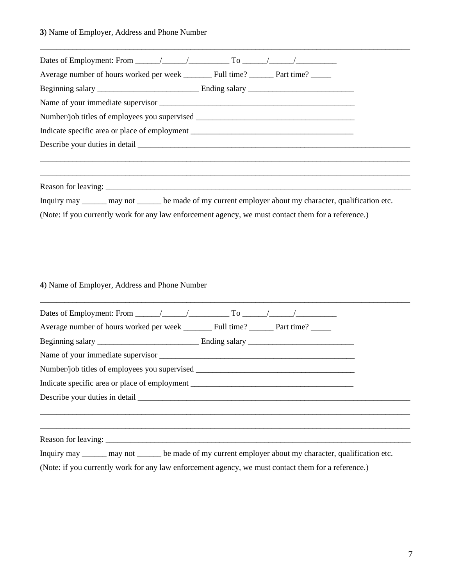**3**) Name of Employer, Address and Phone Number

| Average number of hours worked per week Full time? Part time?                                           |  |
|---------------------------------------------------------------------------------------------------------|--|
|                                                                                                         |  |
|                                                                                                         |  |
| Number/job titles of employees you supervised __________________________________                        |  |
| Indicate specific area or place of employment ___________________________________                       |  |
|                                                                                                         |  |
|                                                                                                         |  |
|                                                                                                         |  |
| Inquiry may ______ may not ______ be made of my current employer about my character, qualification etc. |  |
| (Note: if you currently work for any law enforcement agency, we must contact them for a reference.)     |  |

\_\_\_\_\_\_\_\_\_\_\_\_\_\_\_\_\_\_\_\_\_\_\_\_\_\_\_\_\_\_\_\_\_\_\_\_\_\_\_\_\_\_\_\_\_\_\_\_\_\_\_\_\_\_\_\_\_\_\_\_\_\_\_\_\_\_\_\_\_\_\_\_\_\_\_\_\_\_\_\_\_\_\_\_\_\_\_\_\_\_\_

#### **4**) Name of Employer, Address and Phone Number

| Number/job titles of employees you supervised __________________________________  |                                                                                                                      |  |
|-----------------------------------------------------------------------------------|----------------------------------------------------------------------------------------------------------------------|--|
| Indicate specific area or place of employment ___________________________________ |                                                                                                                      |  |
|                                                                                   |                                                                                                                      |  |
|                                                                                   |                                                                                                                      |  |
|                                                                                   | <u> 2000 - Andreas Andreas Andreas Andreas Andreas Andreas Andreas Andreas Andreas Andreas Andreas Andreas Andre</u> |  |
|                                                                                   |                                                                                                                      |  |
|                                                                                   | Inquiry may _______ may not _______ be made of my current employer about my character, qualification etc.            |  |

\_\_\_\_\_\_\_\_\_\_\_\_\_\_\_\_\_\_\_\_\_\_\_\_\_\_\_\_\_\_\_\_\_\_\_\_\_\_\_\_\_\_\_\_\_\_\_\_\_\_\_\_\_\_\_\_\_\_\_\_\_\_\_\_\_\_\_\_\_\_\_\_\_\_\_\_\_\_\_\_\_\_\_\_\_\_\_\_\_\_\_

(Note: if you currently work for any law enforcement agency, we must contact them for a reference.)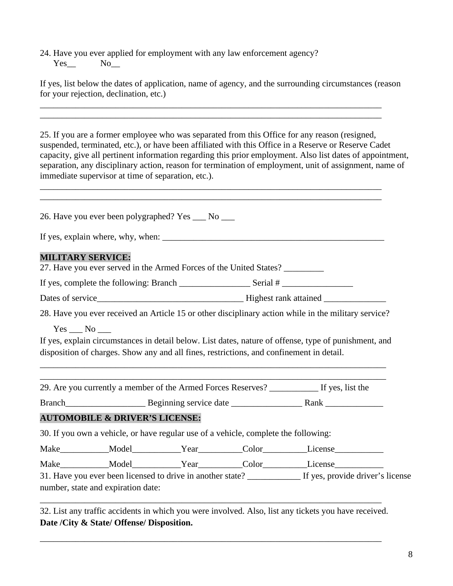24. Have you ever applied for employment with any law enforcement agency?  $Yes$   $No$ 

If yes, list below the dates of application, name of agency, and the surrounding circumstances (reason for your rejection, declination, etc.)

\_\_\_\_\_\_\_\_\_\_\_\_\_\_\_\_\_\_\_\_\_\_\_\_\_\_\_\_\_\_\_\_\_\_\_\_\_\_\_\_\_\_\_\_\_\_\_\_\_\_\_\_\_\_\_\_\_\_\_\_\_\_\_\_\_\_\_\_\_\_\_\_\_\_\_\_\_ \_\_\_\_\_\_\_\_\_\_\_\_\_\_\_\_\_\_\_\_\_\_\_\_\_\_\_\_\_\_\_\_\_\_\_\_\_\_\_\_\_\_\_\_\_\_\_\_\_\_\_\_\_\_\_\_\_\_\_\_\_\_\_\_\_\_\_\_\_\_\_\_\_\_\_\_\_

\_\_\_\_\_\_\_\_\_\_\_\_\_\_\_\_\_\_\_\_\_\_\_\_\_\_\_\_\_\_\_\_\_\_\_\_\_\_\_\_\_\_\_\_\_\_\_\_\_\_\_\_\_\_\_\_\_\_\_\_\_\_\_\_\_\_\_\_\_\_\_\_\_\_\_\_\_

25. If you are a former employee who was separated from this Office for any reason (resigned, suspended, terminated, etc.), or have been affiliated with this Office in a Reserve or Reserve Cadet capacity, give all pertinent information regarding this prior employment. Also list dates of appointment, separation, any disciplinary action, reason for termination of employment, unit of assignment, name of immediate supervisor at time of separation, etc.).

| <b>MILITARY SERVICE:</b><br>27. Have you ever served in the Armed Forces of the United States?<br>28. Have you ever received an Article 15 or other disciplinary action while in the military service?<br>$Yes$ No $\_\_$<br>If yes, explain circumstances in detail below. List dates, nature of offense, type of punishment, and<br>disposition of charges. Show any and all fines, restrictions, and confinement in detail. |  |  |
|--------------------------------------------------------------------------------------------------------------------------------------------------------------------------------------------------------------------------------------------------------------------------------------------------------------------------------------------------------------------------------------------------------------------------------|--|--|
|                                                                                                                                                                                                                                                                                                                                                                                                                                |  |  |
|                                                                                                                                                                                                                                                                                                                                                                                                                                |  |  |
|                                                                                                                                                                                                                                                                                                                                                                                                                                |  |  |
|                                                                                                                                                                                                                                                                                                                                                                                                                                |  |  |
|                                                                                                                                                                                                                                                                                                                                                                                                                                |  |  |
|                                                                                                                                                                                                                                                                                                                                                                                                                                |  |  |
| 29. Are you currently a member of the Armed Forces Reserves? ___________ If yes, list the                                                                                                                                                                                                                                                                                                                                      |  |  |
|                                                                                                                                                                                                                                                                                                                                                                                                                                |  |  |
| <b>AUTOMOBILE &amp; DRIVER'S LICENSE:</b>                                                                                                                                                                                                                                                                                                                                                                                      |  |  |
| 30. If you own a vehicle, or have regular use of a vehicle, complete the following:                                                                                                                                                                                                                                                                                                                                            |  |  |
|                                                                                                                                                                                                                                                                                                                                                                                                                                |  |  |
|                                                                                                                                                                                                                                                                                                                                                                                                                                |  |  |
| Make____________Model___________Year_________Color_________License______________<br>Make____________Model____________Year_________Color__________License____________                                                                                                                                                                                                                                                           |  |  |

|  | 32. List any traffic accidents in which you were involved. Also, list any tickets you have received. |  |  |  |  |  |
|--|------------------------------------------------------------------------------------------------------|--|--|--|--|--|
|  | Date /City & State/ Offense/ Disposition.                                                            |  |  |  |  |  |

\_\_\_\_\_\_\_\_\_\_\_\_\_\_\_\_\_\_\_\_\_\_\_\_\_\_\_\_\_\_\_\_\_\_\_\_\_\_\_\_\_\_\_\_\_\_\_\_\_\_\_\_\_\_\_\_\_\_\_\_\_\_\_\_\_\_\_\_\_\_\_\_\_\_\_\_\_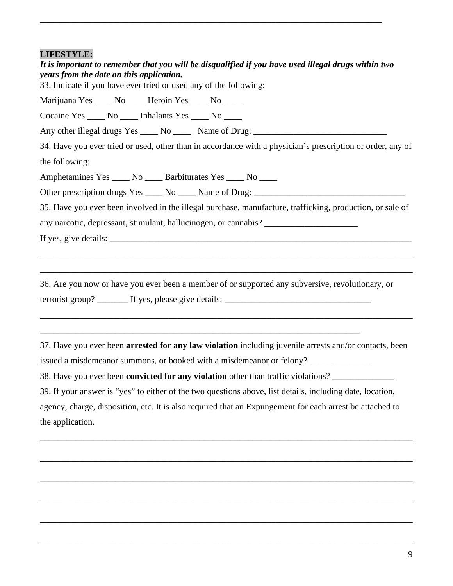| <b>LIFESTYLE:</b><br>It is important to remember that you will be disqualified if you have used illegal drugs within two<br>years from the date on this application.<br>33. Indicate if you have ever tried or used any of the following: |
|-------------------------------------------------------------------------------------------------------------------------------------------------------------------------------------------------------------------------------------------|
| Marijuana Yes _____ No _____ Heroin Yes _____ No _____                                                                                                                                                                                    |
| Cocaine Yes _____ No _____ Inhalants Yes _____ No ____                                                                                                                                                                                    |
| Any other illegal drugs Yes _____ No ______ Name of Drug: _______________________                                                                                                                                                         |
| 34. Have you ever tried or used, other than in accordance with a physician's prescription or order, any of                                                                                                                                |
| the following:                                                                                                                                                                                                                            |
| Amphetamines Yes _____ No _____ Barbiturates Yes _____ No ____                                                                                                                                                                            |
|                                                                                                                                                                                                                                           |
| 35. Have you ever been involved in the illegal purchase, manufacture, trafficking, production, or sale of                                                                                                                                 |
| any narcotic, depressant, stimulant, hallucinogen, or cannabis? _________________                                                                                                                                                         |
|                                                                                                                                                                                                                                           |
|                                                                                                                                                                                                                                           |
|                                                                                                                                                                                                                                           |
| 36. Are you now or have you ever been a member of or supported any subversive, revolutionary, or                                                                                                                                          |
|                                                                                                                                                                                                                                           |
|                                                                                                                                                                                                                                           |
|                                                                                                                                                                                                                                           |
| 37. Have you ever been arrested for any law violation including juvenile arrests and/or contacts, been                                                                                                                                    |
| issued a misdemeanor summons, or booked with a misdemeanor or felony?                                                                                                                                                                     |
| 38. Have you ever been convicted for any violation other than traffic violations?                                                                                                                                                         |
| 39. If your answer is "yes" to either of the two questions above, list details, including date, location,                                                                                                                                 |

\_\_\_\_\_\_\_\_\_\_\_\_\_\_\_\_\_\_\_\_\_\_\_\_\_\_\_\_\_\_\_\_\_\_\_\_\_\_\_\_\_\_\_\_\_\_\_\_\_\_\_\_\_\_\_\_\_\_\_\_\_\_\_\_\_\_\_\_\_\_\_\_\_\_\_\_\_

agency, charge, disposition, etc. It is also required that an Expungement for each arrest be attached to the application.

\_\_\_\_\_\_\_\_\_\_\_\_\_\_\_\_\_\_\_\_\_\_\_\_\_\_\_\_\_\_\_\_\_\_\_\_\_\_\_\_\_\_\_\_\_\_\_\_\_\_\_\_\_\_\_\_\_\_\_\_\_\_\_\_\_\_\_\_\_\_\_\_\_\_\_\_\_\_\_\_\_\_\_\_

\_\_\_\_\_\_\_\_\_\_\_\_\_\_\_\_\_\_\_\_\_\_\_\_\_\_\_\_\_\_\_\_\_\_\_\_\_\_\_\_\_\_\_\_\_\_\_\_\_\_\_\_\_\_\_\_\_\_\_\_\_\_\_\_\_\_\_\_\_\_\_\_\_\_\_\_\_\_\_\_\_\_\_\_

\_\_\_\_\_\_\_\_\_\_\_\_\_\_\_\_\_\_\_\_\_\_\_\_\_\_\_\_\_\_\_\_\_\_\_\_\_\_\_\_\_\_\_\_\_\_\_\_\_\_\_\_\_\_\_\_\_\_\_\_\_\_\_\_\_\_\_\_\_\_\_\_\_\_\_\_\_\_\_\_\_\_\_\_

\_\_\_\_\_\_\_\_\_\_\_\_\_\_\_\_\_\_\_\_\_\_\_\_\_\_\_\_\_\_\_\_\_\_\_\_\_\_\_\_\_\_\_\_\_\_\_\_\_\_\_\_\_\_\_\_\_\_\_\_\_\_\_\_\_\_\_\_\_\_\_\_\_\_\_\_\_\_\_\_\_\_\_\_

\_\_\_\_\_\_\_\_\_\_\_\_\_\_\_\_\_\_\_\_\_\_\_\_\_\_\_\_\_\_\_\_\_\_\_\_\_\_\_\_\_\_\_\_\_\_\_\_\_\_\_\_\_\_\_\_\_\_\_\_\_\_\_\_\_\_\_\_\_\_\_\_\_\_\_\_\_\_\_\_\_\_\_\_

\_\_\_\_\_\_\_\_\_\_\_\_\_\_\_\_\_\_\_\_\_\_\_\_\_\_\_\_\_\_\_\_\_\_\_\_\_\_\_\_\_\_\_\_\_\_\_\_\_\_\_\_\_\_\_\_\_\_\_\_\_\_\_\_\_\_\_\_\_\_\_\_\_\_\_\_\_\_\_\_\_\_\_\_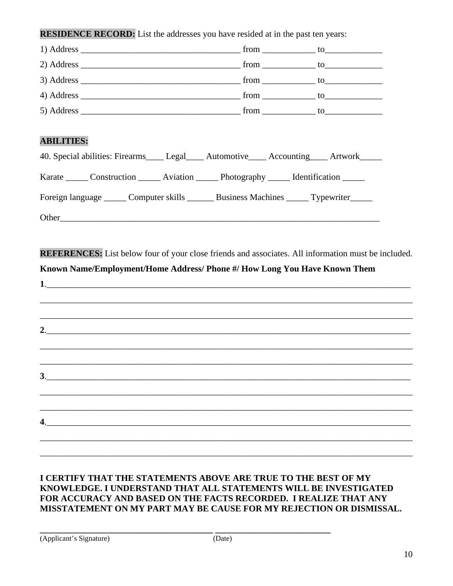**RESIDENCE RECORD:** List the addresses you have resided at in the past ten years:

| <b>ABILITIES:</b>         |                                                                                                     |  |
|---------------------------|-----------------------------------------------------------------------------------------------------|--|
|                           | 40. Special abilities: Firearms_____ Legal_____ Automotive_____ Accounting_____ Artwork_____        |  |
|                           | Karate _______ Construction _______ Aviation _______ Photography ______ Identification ______       |  |
|                           | Foreign language ______ Computer skills _______ Business Machines ______ Typewriter_____            |  |
|                           |                                                                                                     |  |
|                           |                                                                                                     |  |
|                           | REFERENCES: List below four of your close friends and associates. All information must be included. |  |
|                           | Known Name/Employment/Home Address/ Phone #/ How Long You Have Known Them                           |  |
|                           | <u>2.</u>                                                                                           |  |
| $\overline{\mathbf{3}}$ . |                                                                                                     |  |
|                           |                                                                                                     |  |
|                           |                                                                                                     |  |
| 4.                        |                                                                                                     |  |
|                           |                                                                                                     |  |
|                           |                                                                                                     |  |

#### **I CERTIFY THAT THE STATEMENTS ABOVE ARE TRUE TO THE BEST OF MY KNOWLEDGE. I UNDERSTAND THAT ALL STATEMENTS WILL BE INVESTIGATED FOR ACCURACY AND BASED ON THE FACTS RECORDED. I REALIZE THAT ANY MISSTATEMENT ON MY PART MAY BE CAUSE FOR MY REJECTION OR DISMISSAL.**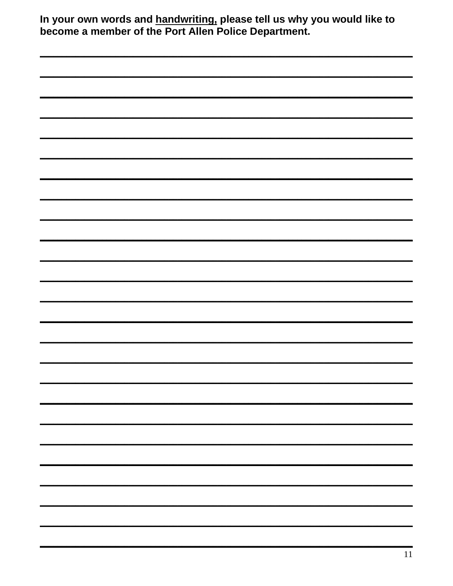| In your own words and handwriting, please tell us why you would like to<br>become a member of the Port Allen Police Department. |  |  |  |  |  |  |
|---------------------------------------------------------------------------------------------------------------------------------|--|--|--|--|--|--|
|                                                                                                                                 |  |  |  |  |  |  |
|                                                                                                                                 |  |  |  |  |  |  |
|                                                                                                                                 |  |  |  |  |  |  |
|                                                                                                                                 |  |  |  |  |  |  |
|                                                                                                                                 |  |  |  |  |  |  |
|                                                                                                                                 |  |  |  |  |  |  |
|                                                                                                                                 |  |  |  |  |  |  |
|                                                                                                                                 |  |  |  |  |  |  |
|                                                                                                                                 |  |  |  |  |  |  |
|                                                                                                                                 |  |  |  |  |  |  |
|                                                                                                                                 |  |  |  |  |  |  |
|                                                                                                                                 |  |  |  |  |  |  |
|                                                                                                                                 |  |  |  |  |  |  |
|                                                                                                                                 |  |  |  |  |  |  |
|                                                                                                                                 |  |  |  |  |  |  |
|                                                                                                                                 |  |  |  |  |  |  |
|                                                                                                                                 |  |  |  |  |  |  |
|                                                                                                                                 |  |  |  |  |  |  |
|                                                                                                                                 |  |  |  |  |  |  |
|                                                                                                                                 |  |  |  |  |  |  |
|                                                                                                                                 |  |  |  |  |  |  |
|                                                                                                                                 |  |  |  |  |  |  |
|                                                                                                                                 |  |  |  |  |  |  |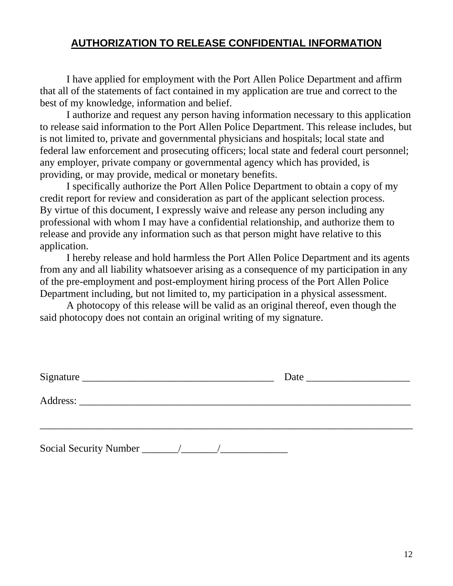### **AUTHORIZATION TO RELEASE CONFIDENTIAL INFORMATION**

I have applied for employment with the Port Allen Police Department and affirm that all of the statements of fact contained in my application are true and correct to the best of my knowledge, information and belief.

I authorize and request any person having information necessary to this application to release said information to the Port Allen Police Department. This release includes, but is not limited to, private and governmental physicians and hospitals; local state and federal law enforcement and prosecuting officers; local state and federal court personnel; any employer, private company or governmental agency which has provided, is providing, or may provide, medical or monetary benefits.

I specifically authorize the Port Allen Police Department to obtain a copy of my credit report for review and consideration as part of the applicant selection process. By virtue of this document, I expressly waive and release any person including any professional with whom I may have a confidential relationship, and authorize them to release and provide any information such as that person might have relative to this application.

I hereby release and hold harmless the Port Allen Police Department and its agents from any and all liability whatsoever arising as a consequence of my participation in any of the pre-employment and post-employment hiring process of the Port Allen Police Department including, but not limited to, my participation in a physical assessment.

A photocopy of this release will be valid as an original thereof, even though the said photocopy does not contain an original writing of my signature.

| Signature |  |  |
|-----------|--|--|
|           |  |  |
|           |  |  |
|           |  |  |